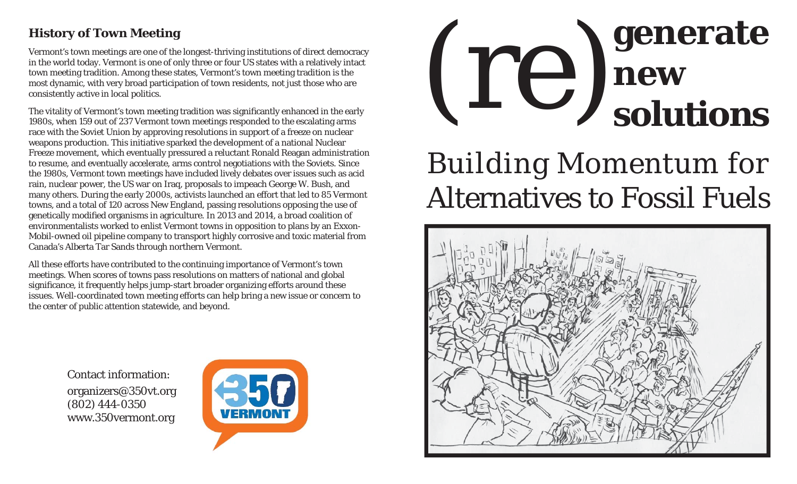## **History of Town Meeting**

Vermont's town meetings are one of the longest-thriving institutions of direct democracy in the world today. Vermont is one of only three or four US states with a relatively intact town meeting tradition. Among these states, Vermont's town meeting tradition is the most dynamic, with very broad participation of town residents, not just those who are consistently active in local politics.

The vitality of Vermont's town meeting tradition was significantly enhanced in the early 1980s, when 159 out of 237 Vermont town meetings responded to the escalating arms race with the Soviet Union by approving resolutions in support of a freeze on nuclear weapons production. This initiative sparked the development of a national Nuclear Freeze movement, which eventually pressured a reluctant Ronald Reagan administration to resume, and eventually accelerate, arms control negotiations with the Soviets. Since the 1980s, Vermont town meetings have included lively debates over issues such as acid rain, nuclear power, the US war on Iraq, proposals to impeach George W. Bush, and many others. During the early 2000s, activists launched an effort that led to 85 Vermont towns, and a total of 120 across New England, passing resolutions opposing the use of genetically modified organisms in agriculture. In 2013 and 2014, a broad coalition of environmentalists worked to enlist Vermont towns in opposition to plans by an Exxon-Mobil-owned oil pipeline company to transport highly corrosive and toxic material from Canada's Alberta Tar Sands through northern Vermont.

All these efforts have contributed to the continuing importance of Vermont's town meetings. When scores of towns pass resolutions on matters of national and global significance, it frequently helps jump-start broader organizing efforts around these issues. Well-coordinated town meeting efforts can help bring a new issue or concern to the center of public attention statewide, and beyond.

> Contact information:organizers@350vt.org (802) 444-0350 www.350vermont.org





# Building Momentum for Alternatives to Fossil Fuels

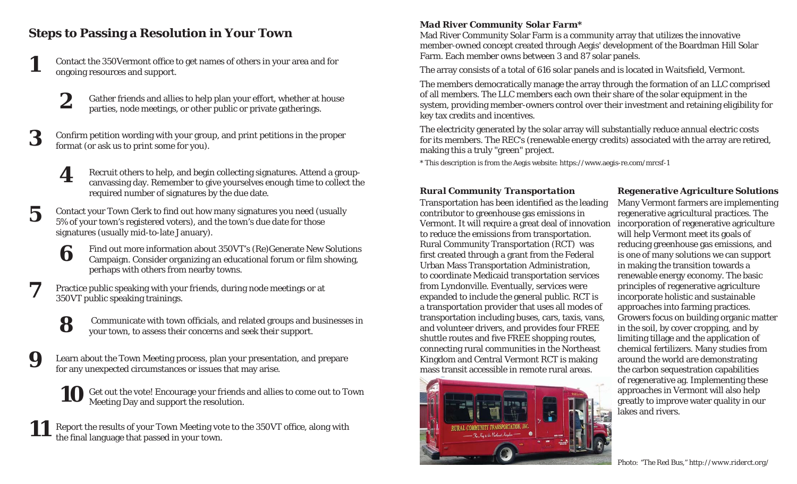## **Steps to Passing a Resolution in Your Town**

**1**

**8**

**9**

Contact the 350Vermont office to get names of others in your area and for ongoing resources and support.

- **2**Gather friends and allies to help plan your effort, whether at house parties, node meetings, or other public or private gatherings.
- **3**Confirm petition wording with your group, and print petitions in the proper format (or ask us to print some for you).

**4**Recruit others to help, and begin collecting signatures. Attend a groupcanvassing day. Remember to give yourselves enough time to collect the required number of signatures by the due date.

- **5**Contact your Town Clerk to fi nd out how many signatures you need (usually 5% of your town's registered voters), and the town's due date for those signatures (usually mid-to-late January).
	- **6** Find out more information about 350VT's (Re)Generate New Solutions Campaign. Consider organizing an educational forum or film showing, perhaps with others from nearby towns.
- **7**Practice public speaking with your friends, during node meetings or at 350VT public speaking trainings.
	- Communicate with town officials, and related groups and businesses in your town, to assess their concerns and seek their support.
	- Learn about the Town Meeting process, plan your presentation, and prepare for any unexpected circumstances or issues that may arise.
		- **10**Get out the vote! Encourage your friends and allies to come out to Town Meeting Day and support the resolution.
- **11**Report the results of your Town Meeting vote to the 350VT office, along with the final language that passed in your town.

### *Mad River Community Solar Farm\**

Mad River Community Solar Farm is a community array that utilizes the innovative member-owned concept created through Aegis' development of the Boardman Hill Solar Farm. Each member owns between 3 and 87 solar panels.

The array consists of a total of 616 solar panels and is located in Waitsfield, Vermont.

The members democratically manage the array through the formation of an LLC comprised of all members. The LLC members each own their share of the solar equipment in the system, providing member-owners control over their investment and retaining eligibility for key tax credits and incentives.

The electricity generated by the solar array will substantially reduce annual electric costs for its members. The REC's (renewable energy credits) associated with the array are retired, making this a truly "green" project.

\* This description is from the Aegis website: https://www.aegis-re.com/mrcsf-1

### *Rural Community Transportation Regenerative Agriculture Solutions*

Transportation has been identified as the leading contributor to greenhouse gas emissions in Vermont. It will require a great deal of innovation to reduce the emissions from transportation. Rural Community Transportation (RCT) was first created through a grant from the Federal Urban Mass Transportation Administration, to coordinate Medicaid transportation services from Lyndonville. Eventually, services were expanded to include the general public. RCT is a transportation provider that uses all modes of transportation including buses, cars, taxis, vans, and volunteer drivers, and provides four FREE shuttle routes and fi ve FREE shopping routes, connecting rural communities in the Northeast Kingdom and Central Vermont RCT is making mass transit accessible in remote rural areas.



## Many Vermont farmers are implementing

regenerative agricultural practices. The incorporation of regenerative agriculture will help Vermont meet its goals of reducing greenhouse gas emissions, and is one of many solutions we can support in making the transition towards a renewable energy economy. The basic principles of regenerative agriculture incorporate holistic and sustainable approaches into farming practices. Growers focus on building organic matter in the soil, by cover cropping, and by limiting tillage and the application of chemical fertilizers. Many studies from around the world are demonstrating the carbon sequestration capabilities of regenerative ag. Implementing these approaches in Vermont will also help greatly to improve water quality in our lakes and rivers.

*Photo: "The Red Bus," http://www.riderct.org/*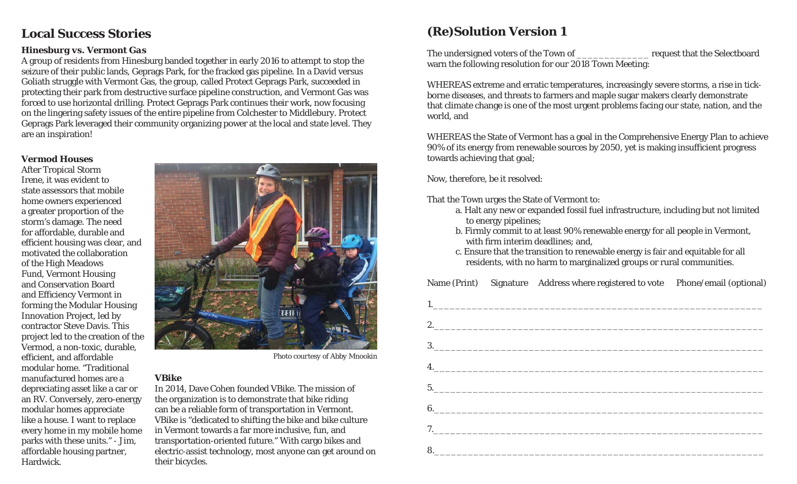## **Local Success Stories**

#### *Hinesburg vs. Vermont Gas*

A group of residents from Hinesburg banded together in early 2016 to attempt to stop the seizure of their public lands, Geprags Park, for the fracked gas pipeline. In a David versus Goliath struggle with Vermont Gas, the group, called Protect Geprags Park, succeeded in protecting their park from destructive surface pipeline construction, and Vermont Gas was forced to use horizontal drilling. Protect Geprags Park continues their work, now focusing on the lingering safety issues of the entire pipeline from Colchester to Middlebury. Protect Geprags Park leveraged their community organizing power at the local and state level. They are an inspiration!

#### *Vermod Houses*

After Tropical Storm Irene, it was evident to state assessors that mobile home owners experienced a greater proportion of the storm's damage. The need for affordable, durable and efficient housing was clear, and motivated the collaboration of the High Meadows Fund, Vermont Housing and Conservation Board and Efficiency Vermont in forming the Modular Housing Innovation Project, led by contractor Steve Davis. This project led to the creation of the Vermod, a non-toxic, durable, efficient, and affordable modular home. "Traditional manufactured homes are a depreciating asset like a car or an RV. Conversely, zero-energy modular homes appreciate like a house. I want to replace every home in my mobile home parks with these units." - Jim, affordable housing partner, Hardwick.



*Photo courtesy of Abby Mnookin*

#### *VBike*

In 2014, Dave Cohen founded VBike. The mission of the organization is to demonstrate that bike riding can be a reliable form of transportation in Vermont. VBike is "dedicated to shifting the bike and bike culture in Vermont towards a far more inclusive, fun, and transportation-oriented future." With cargo bikes and electric-assist technology, most anyone can get around on their bicycles.

## **(Re)Solution Version 1**

The undersigned voters of the Town of <u>\_\_\_\_\_\_\_\_\_\_\_\_\_\_\_</u> request that the Selectboard warn the following resolution for our 2018 Town Meeting:

WHEREAS extreme and erratic temperatures, increasingly severe storms, a rise in tickborne diseases, and threats to farmers and maple sugar makers clearly demonstrate that climate change is one of the most urgent problems facing our state, nation, and the world, and

WHEREAS the State of Vermont has a goal in the Comprehensive Energy Plan to achieve 90% of its energy from renewable sources by 2050, yet is making insufficient progress towards achieving that goal;

Now, therefore, be it resolved:

That the Town urges the State of Vermont to:

- a. Halt any new or expanded fossil fuel infrastructure, including but not limited to energy pipelines;
- b. Firmly commit to at least 90% renewable energy for all people in Vermont, with firm interim deadlines; and,
	- c. Ensure that the transition to renewable energy is fair and equitable for all residents, with no harm to marginalized groups or rural communities.

Name (Print) Signature Address where registered to vote Phone/email (optional)

| 4. |  |
|----|--|
|    |  |
|    |  |
|    |  |
|    |  |
|    |  |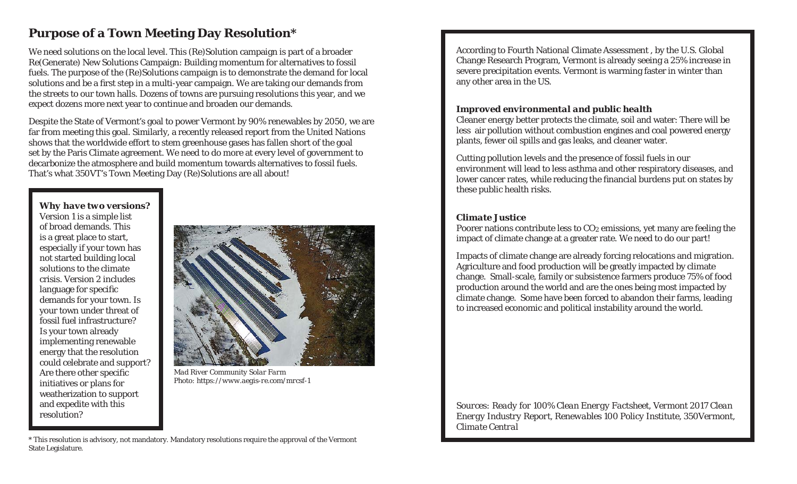## **Purpose of a Town Meeting Day Resolution\***

We need solutions on the local level. This (Re)Solution campaign is part of a broader Re(Generate) New Solutions Campaign: Building momentum for alternatives to fossil fuels. The purpose of the (Re)Solutions campaign is to demonstrate the demand for local solutions and be a first step in a multi-year campaign. We are taking our demands from the streets to our town halls. Dozens of towns are pursuing resolutions this year, and we expect dozens more next year to continue and broaden our demands.

Despite the State of Vermont's goal to power Vermont by 90% renewables by 2050, we are far from meeting this goal. Similarly, a recently released report from the United Nations shows that the worldwide effort to stem greenhouse gases has fallen short of the goal set by the Paris Climate agreement. We need to do more at every level of government to decarbonize the atmosphere and build momentum towards alternatives to fossil fuels. That's what 350VT's Town Meeting Day (Re)Solutions are all about!

## *Why have two versions?*

Version 1 is a simple list of broad demands. This is a great place to start, especially if your town has not started building local solutions to the climate crisis. Version 2 includes language for specific demands for your town. Is your town under threat of fossil fuel infrastructure? Is your town already implementing renewable energy that the resolution could celebrate and support? Are there other specific initiatives or plans for weatherization to support and expedite with this resolution?



*Mad River Community Solar Farm Photo: https://www.aegis-re.com/mrcsf-1*

\* This resolution is advisory, not mandatory. Mandatory resolutions require the approval of the Vermont State Legislature.

According to Fourth National Climate Assessment , by the U.S. Global Change Research Program, Vermont is already seeing a 25% increase in severe precipitation events. Vermont is warming faster in winter than any other area in the US.

#### *Improved environmental and public health*

Cleaner energy better protects the climate, soil and water: There will be less air pollution without combustion engines and coal powered energy plants, fewer oil spills and gas leaks, and cleaner water.

Cutting pollution levels and the presence of fossil fuels in our environment will lead to less asthma and other respiratory diseases, and lower cancer rates, while reducing the financial burdens put on states by these public health risks.

#### *Climate Justice*

Poorer nations contribute less to CO<sub>2</sub> emissions, yet many are feeling the impact of climate change at a greater rate. We need to do our part!

Impacts of climate change are already forcing relocations and migration. Agriculture and food production will be greatly impacted by climate change. Small-scale, family or subsistence farmers produce 75% of food production around the world and are the ones being most impacted by climate change. Some have been forced to abandon their farms, leading to increased economic and political instability around the world.

*Sources: Ready for 100% Clean Energy Factsheet, Vermont 2017 Clean Energy Industry Report, Renewables 100 Policy Institute, 350Vermont, Climate Central*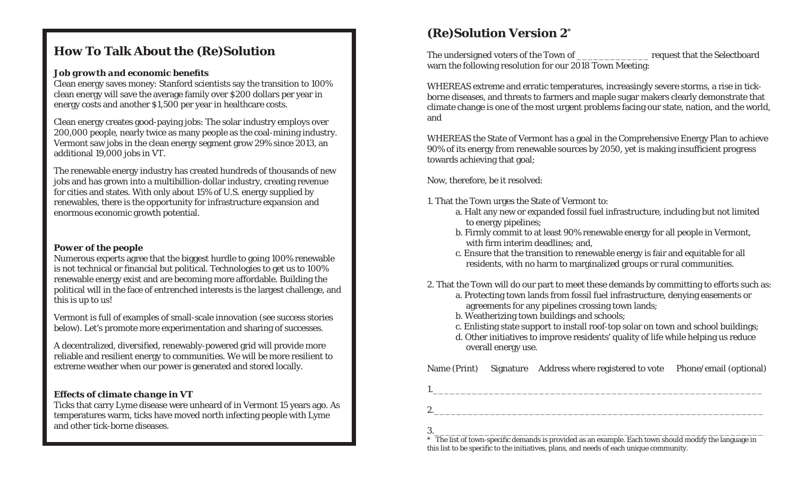## **How To Talk About the (Re)Solution**

#### *Job growth and economic bene fi ts*

Clean energy saves money: Stanford scientists say the transition to 100% clean energy will save the average family over \$200 dollars per year in energy costs and another \$1,500 per year in healthcare costs.

Clean energy creates good-paying jobs: The solar industry employs over 200,000 people, nearly twice as many people as the coal-mining industry. Vermont saw jobs in the clean energy segment grow 29% since 2013, an additional 19,000 jobs in VT.

The renewable energy industry has created hundreds of thousands of new jobs and has grown into a multibillion-dollar industry, creating revenue for cities and states. With only about 15% of U.S. energy supplied by renewables, there is the opportunity for infrastructure expansion and enormous economic growth potential.

#### *Power of the people*

Numerous experts agree that the biggest hurdle to going 100% renewable is not technical or financial but political. Technologies to get us to 100% renewable energy exist and are becoming more affordable. Building the political will in the face of entrenched interests is the largest challenge, and this is up to us!

Vermont is full of examples of small-scale innovation (see success stories below). Let's promote more experimentation and sharing of successes.

A decentralized, diversified, renewably-powered grid will provide more reliable and resilient energy to communities. We will be more resilient to extreme weather when our power is generated and stored locally.

#### *Effects of climate change in VT*

Ticks that carry Lyme disease were unheard of in Vermont 15 years ago. As temperatures warm, ticks have moved north infecting people with Lyme and other tick-borne diseases.

## **(Re)Solution Version 2\***

The undersigned voters of the Town of The United Selectboard request that the Selectboard warn the following resolution for our 2018 Town Meeting:

WHEREAS extreme and erratic temperatures, increasingly severe storms, a rise in tickborne diseases, and threats to farmers and maple sugar makers clearly demonstrate that climate change is one of the most urgent problems facing our state, nation, and the world, and

WHEREAS the State of Vermont has a goal in the Comprehensive Energy Plan to achieve 90% of its energy from renewable sources by 2050, yet is making insufficient progress towards achieving that goal;

Now, therefore, be it resolved:

1. That the Town urges the State of Vermont to:

- a. Halt any new or expanded fossil fuel infrastructure, including but not limited to energy pipelines;
- b. Firmly commit to at least 90% renewable energy for all people in Vermont, with firm interim deadlines; and,
	- c. Ensure that the transition to renewable energy is fair and equitable for all residents, with no harm to marginalized groups or rural communities.
- 2. That the Town will do our part to meet these demands by committing to efforts such as:
	- a. Protecting town lands from fossil fuel infrastructure, denying easements or agreements for any pipelines crossing town lands;
	- b. Weatherizing town buildings and schools;
	- c. Enlisting state support to install roof-top solar on town and school buildings;
	- d. Other initiatives to improve residents' quality of life while helping us reduce overall energy use.

Name (Print) Signature Address where registered to vote Phone/email (optional)

1.\_\_\_\_\_\_\_\_\_\_\_\_\_\_\_\_\_\_\_\_\_\_\_\_\_\_\_\_\_\_\_\_\_\_\_\_\_\_\_\_\_\_\_\_\_\_\_\_\_\_\_\_\_\_\_\_\_\_\_

2.\_\_\_\_\_\_\_\_\_\_\_\_\_\_\_\_\_\_\_\_\_\_\_\_\_\_\_\_\_\_\_\_\_\_\_\_\_\_\_\_\_\_\_\_\_\_\_\_\_\_\_\_\_\_\_\_\_\_\_

 $3.$  $^\ast$  The list of town-specific demands is provided as an example. Each town should modify the language in this list to be speci fi c to the initiatives, plans, and needs of each unique community.